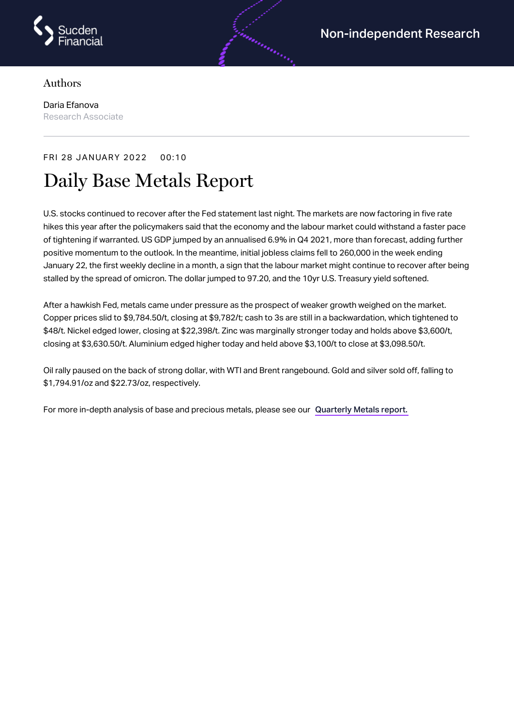

## Authors

Daria Efanova Research Associate

## FRI 28 JANUARY 2022 00:10

## Daily Base Metals Report

U.S. stocks continued to recover after the Fed statement last night. The markets are now factoring in five rate hikes this year after the policymakers said that the economy and the labour market could withstand a faster pace of tightening if warranted. US GDP jumped by an annualised 6.9% in Q4 2021, more than forecast, adding further positive momentum to the outlook. In the meantime, initial jobless claims fell to 260,000 in the week ending January 22, the first weekly decline in a month, a sign that the labour market might continue to recover after being stalled by the spread of omicron. The dollar jumped to 97.20, and the 10yr U.S. Treasury yield softened.

After a hawkish Fed, metals came under pressure as the prospect of weaker growth weighed on the market. Copper prices slid to \$9,784.50/t, closing at \$9,782/t; cash to 3s are still in a backwardation, which tightened to \$48/t. Nickel edged lower, closing at \$22,398/t. Zinc was marginally stronger today and holds above \$3,600/t, closing at \$3,630.50/t. Aluminium edged higher today and held above \$3,100/t to close at \$3,098.50/t.

Oil rally paused on the back of strong dollar, with WTI and Brent rangebound. Gold and silver sold off, falling to \$1,794.91/oz and \$22.73/oz, respectively.

For more in-depth analysis of base and precious metals, please see our [Quarterly](https://www.sucdenfinancial.com/en/reports/quarterly-metals/qmr-q4-2021/) Metals report.